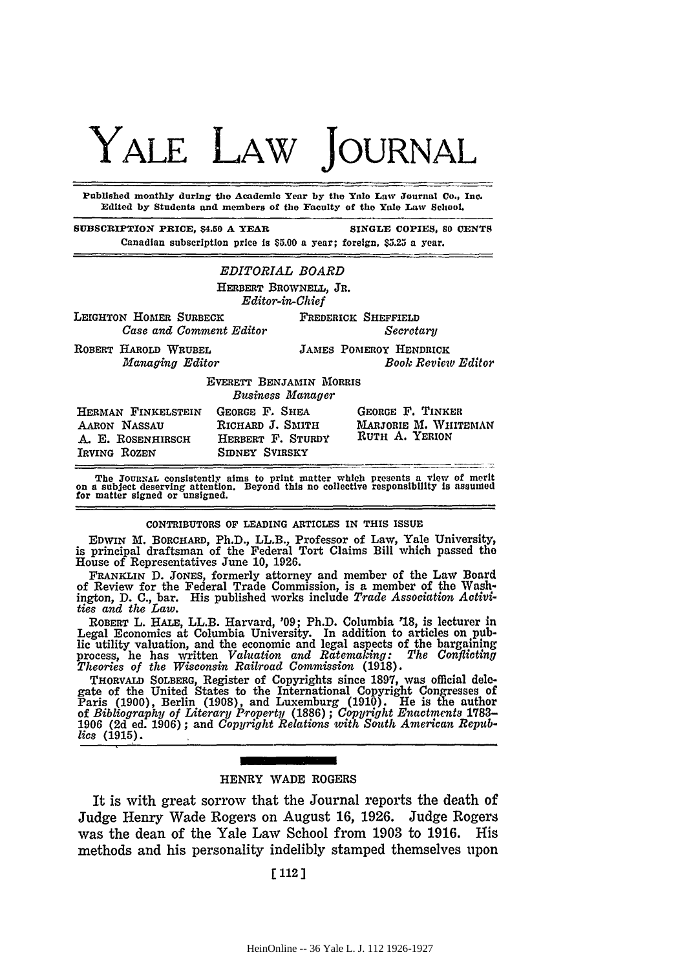# YALE LAW **JOURNAL** YALE LAW JOURNAL

Published monthly during the Academic Year by the Yale Law Journal Co., Inc. Edited **by** Students and members of the Faculty of the **Yale Law** SchooL Edited by Students and members of the Faculty of tho Yalo Law SchooL

**SUBSCRIPTION PRICE, \$4.50 A YEAR SINGLE COPIES, 80 CENTS** Canadian subscription price is \$5.00 a year; foreign, \$5.25 a year.

|                                                                         | EDITORIAL BOARD<br>HERBERT BROWNELL, JR.<br>Editor-in-Chief                      |                                                            |                                                            |
|-------------------------------------------------------------------------|----------------------------------------------------------------------------------|------------------------------------------------------------|------------------------------------------------------------|
| LEIGHTON HOMER SURBECK<br>Case and Comment Editor                       |                                                                                  | FREDERICK SHEFFIELD<br>Secretary                           |                                                            |
| ROBERT HAROLD WRUBEL<br>Managing Editor                                 |                                                                                  | <b>JAMES POMEROY HENDRICK</b><br><b>Book Review Editor</b> |                                                            |
|                                                                         | EVERETT BENJAMIN MORRIS<br>Business Manager                                      |                                                            |                                                            |
| HERMAN FINKELSTEIN<br>AARON NASSAU<br>A. E. ROSENHIRSCH<br>IRVING ROZEN | GEORGE F. SHEA<br>RICHARD J. SMITH<br>HERBERT F. STURDY<br><b>SIDNEY SVIRSKY</b> |                                                            | GEORGE F. TINKER<br>MARJORIE M. WHITEMAN<br>RUTH A. YERION |
|                                                                         |                                                                                  |                                                            |                                                            |

The **JOURMAL** consistently aims to print matter which presents a **view** of merlt on a subject deserving attention. Beyond this no collective responsibility **is** assumed for matter signed or unsigned. The JOURNAL consistently aims to print matter which presents a view of merit on a subject deserving attention.<br>On a subject deserving attention. Beyond this no collective responsibility is assumed<br>for matter signed or unsi

#### CONTRIBUTORS OF **LEADING** ARTICLES IN THIS ISSUE

CONTRIBUTORS OF LEADING ARTICLES IN THIS ISSUE<br>EDWIN M. BORCHARD, Ph.D., L.L.B., Professor of Law, Yale University,<br>is principal draftsman of the Federal Tort Claims Bill which passed the House of Representatives June **10, 1926.** House of Representatives June 10, 1926. is principal draftsman of the Federal Tort Claims Bill which passed the

FRANKLIN D. JONES, formerly attorney and member of the Law Board<br>of Review for the Federal Trade Commission, is a member of the Washington, **D. C.,** bar. His published works include *Trade Association Activi-*ington, D. C., bar. His published works include *Trade Association Aotivities and the Law. ties and the Law.*of Review for the Federal Trade Commission, is a member of the Wash-

ROBERT L. **HALE,** LL.B. Harvard, '09; Ph.D. Columbia '18, is lecturer in Legal Economics at Columbia University. In addition to articles on public utility valuation, and the economic and legal aspects of the bargaining process, he has written Valuation and Ratemaking: The Conflicting<br>Theories of the Wisconsin Railroad Commission (1918). ROBERT L. HALE, LL.B. Harvard, '09; Ph.D. Columbia '18, is lecturer in Legal Economics at Columbia University. In addition to articles on pub-<br>lic utility valuation, and the economic and legal aspects of the bargaining

THORVALD SOLBERG, Register of Copyrights since 1897, was official dele-gate of the United States to the International Copyright Congresses of Paris (1900), Berlin (1908), and Luxemburg (1910). He is the author of *Bibliography of Literary Property* (1886) **;** *Copyright Enactments* 1783- 1906 (2d ed. 1906); and *Copyright Relations with South American Republics* (1915). THORVALD SOLBERG, Register of Copyrights since 1897, was official dele-gate of the United States to the International Copyright Congresses of Paris (1900), Berlin (1908), and Luxemburg (1910). He is the author of *Bibliography of Literary Prope1·tll* (1886); *Copyright Enactments 1783-* <sup>1906</sup> (2d ed. 1906) ; and *Copyright Relations with South American Rep!tb- lics* (1915).

# HENRY WADE ROGERS HENRY WADE ROGERS

It is with great sorrow that the Journal reports the death of Judge Henry Wade Rogers on August 16, 1926. Judge Rogers Judge Henry Wade Rogers on August 16, 1926. Judge Rogers was the dean of the Yale Law School from 1903 to 1916. His was the dean of the Yale Law School from 1903 to 1916. His methods and his personality indelibly stamped themselves upon methods and his personality indelibly stamped themselves

### **[** 112 ] [ 112]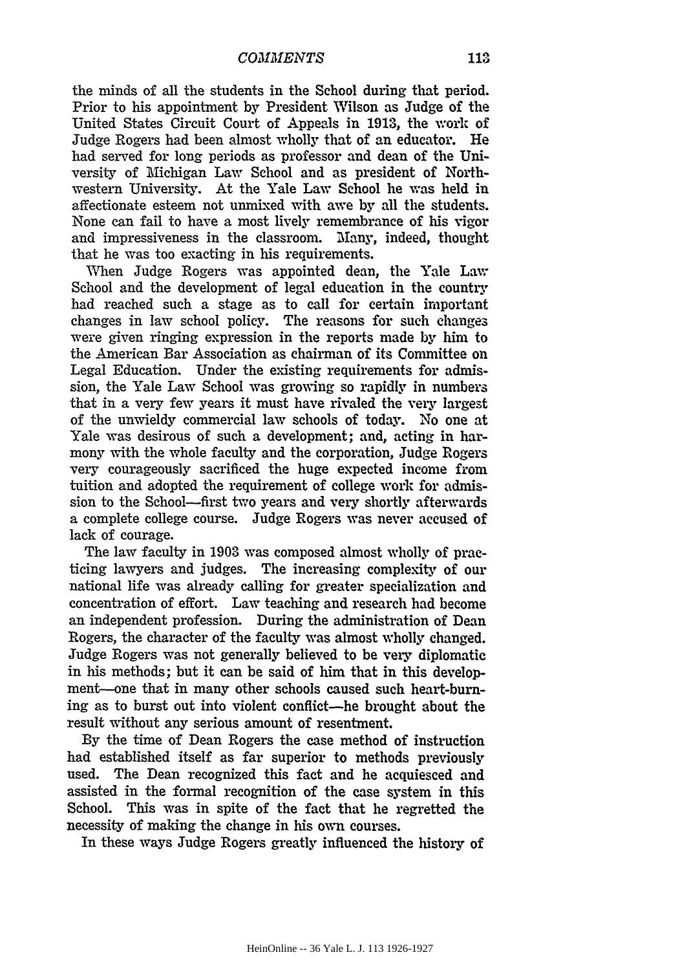the minds of all the students in the School during that period. the minds of all the students in the School during that period. Prior to his appointment by President Wilson as Judge of the Prior to his appointment by President Wilson as Judge of the United States Circuit Court of Appeals in 1913, the work of United States Circuit Court of Appeals in 1913, the work of Judge Rogers had been almost wholly that of an educator. He Judge Rogers had been almost wholly that of an educator. He<br>had served for long periods as professor and dean of the University of Michigan Law School and as president of North-versity of Michigan Lav'.' School and as president of Northwestern University. At the Yale Law School he was held in<br>affectionate esteem not unmixed with awe by all the students. affectionate esteem not unmixed with awe by all the students. None can fail to have a most lively remembrance of his vigor None can fail to have a most lively remembrance of his vigor and impressiveness in the classroom. Many, indeed, thought that he was too exacting in his requirements. that he was too exacting in his requirements.

When Judge Rogers was appointed dean, the Yale Law When Judge Rogers was appointed dean, the Yale Law School and the development of legal education in the country had reached such a stage as to call for certain important had reached such a stage as to call for certain important changes in law school policy. The reasons for such changes changes in law school policy. The reasons for such change3 were given ringing expression in the reports made by him to the American Bar Association as chairman of its Committee on the American Bar Association as chairman of its Committee on Legal Education. Under the existing requirements for admis-Legal Education, Under the existing requirements for admission, the Yale Law School was growing so rapidly in numbers that in a very few years it must have rivaled the very largest of the unwieldy commercial law schools of today. No one at Yale was desirous of such a development; and, acting in har-Yale was desirous of such a development; and, acting in harmony with the whole faculty and the corporation, Judge Rogers mony with the whole faculty and the corporation, Judge Rogers very courageously sacrificed the huge expected income from<br>tuition and adopted the requirement of college work for admistuition and adopted the requirement of college work for admission to the School-first two years and very shortly afterwards a complete college course. Judge Rogers was never accused of a complete college course. Judge Rogers was never accused of lack of courage.

lack of courage.<br>The law faculty in 1903 was composed almost wholly of practicing lawyers and judges. The increasing complexity of our national life was already calling for greater specialization and national life was ah'ead)r calling for greater specialization and concentration of effort. Law teaching and research had become concentration of effort. Law teaching and research had become an independent profession. During the administration of Dean Rogers, the character of the faculty was almost wholly changed. Judge Rogers was not generally believed to be very diplomatic in his methods; but it can be said of him that in this develop-in his methods; but it can be said of him that in this development-one that in many other schools caused such heart-burning as to burst out into violent conflict-he brought about the ing as to burst out into violent conflict-he brought about the result without any serious amount of resentment.

By the time of Dean Rogers the case method of instruction By the time of Dean Rogers the case method of instruction had established itself as far superior to methods previously used. The Dean recognized this fact and he acquiesced and used. The Dean recognized this fact and he acquiesced and assisted in the formal recognition of the case system in this assisted in the formal recognition of the case system in this School. This was in spite of the fact that he regretted the necessity of making the change in his own courses. necessity of making the change in his own courses.

In these ways Judge Rogers greatly influenced the history of